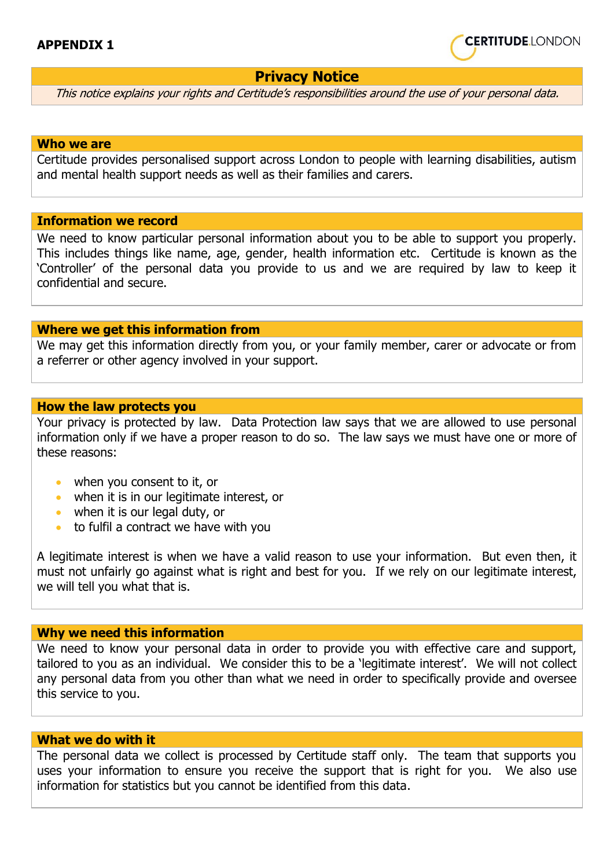

# **Privacy Notice**

This notice explains your rights and Certitude's responsibilities around the use of your personal data.

#### **Who we are**

Certitude provides personalised support across London to people with learning disabilities, autism and mental health support needs as well as their families and carers.

# **Information we record**

We need to know particular personal information about you to be able to support you properly. This includes things like name, age, gender, health information etc. Certitude is known as the 'Controller' of the personal data you provide to us and we are required by law to keep it confidential and secure.

## **Where we get this information from**

We may get this information directly from you, or your family member, carer or advocate or from a referrer or other agency involved in your support.

#### **How the law protects you**

Your privacy is protected by law. Data Protection law says that we are allowed to use personal information only if we have a proper reason to do so. The law says we must have one or more of these reasons:

- when you consent to it, or
- when it is in our legitimate interest, or
- when it is our legal duty, or
- to fulfil a contract we have with you

A legitimate interest is when we have a valid reason to use your information. But even then, it must not unfairly go against what is right and best for you. If we rely on our legitimate interest, we will tell you what that is.

# **Why we need this information**

We need to know your personal data in order to provide you with effective care and support, tailored to you as an individual. We consider this to be a 'legitimate interest'. We will not collect any personal data from you other than what we need in order to specifically provide and oversee this service to you.

## **What we do with it**

The personal data we collect is processed by Certitude staff only. The team that supports you uses your information to ensure you receive the support that is right for you. We also use information for statistics but you cannot be identified from this data.